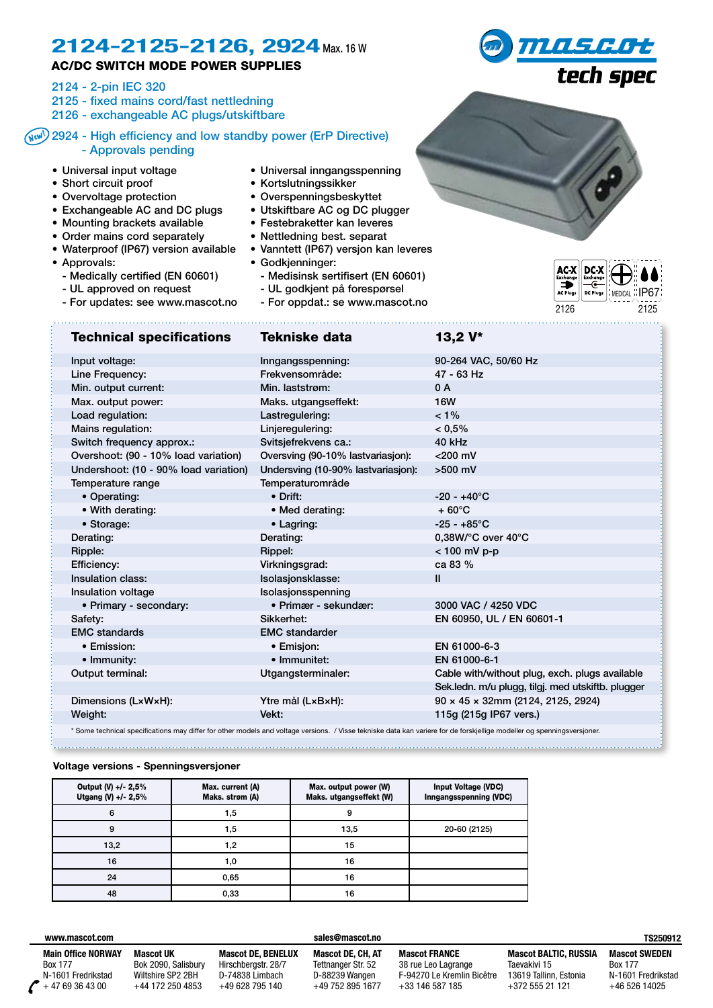## 2124-2125-2126, 2924 Max. 16 W

### AC/DC SWITCH MODE POWER SUPPLIES

2124 - 2-pin IEC 320

- 2125 fixed mains cord/fast nettledning
- 2126 exchangeable AC plugs/utskiftbare

### 2924 - High efficiency and low standby power (ErP Directive) New!- Approvals pending

- Universal input voltage
- Short circuit proof
- Overvoltage protection
- Exchangeable AC and DC plugs
- Mounting brackets available
- Order mains cord separately
- Waterproof (IP67) version available
- Approvals:
	- Medically certified (EN 60601)
	- UL approved on request
- For updates: see www.mascot.no <sup>2126</sup> <sup>2125</sup>
- Universal inngangsspenning
- Kortslutningssikker
- Overspenningsbeskyttet
- Utskiftbare AC og DC plugger
- Festebraketter kan leveres
- Nettledning best. separat
- Vanntett (IP67) versjon kan leveres
- Godkjenninger:
	- Medisinsk sertifisert (EN 60601)
	- UL godkjent på forespørsel
	- For oppdat.: se www.mascot.no
- MEDICAL **IP67**

| <b>Technical specifications</b>       | Tekniske data                      | 13,2 V*                                           |
|---------------------------------------|------------------------------------|---------------------------------------------------|
| Input voltage:                        | Inngangsspenning:                  | 90-264 VAC, 50/60 Hz                              |
| Line Frequency:                       | Frekvensområde:                    | 47 - 63 Hz                                        |
| Min. output current:                  | Min. laststrøm:                    | 0 A                                               |
| Max. output power:                    | Maks. utgangseffekt:               | <b>16W</b>                                        |
| Load regulation:                      | Lastregulering:                    | $< 1\%$                                           |
| Mains regulation:                     | Linjerequlering:                   | $< 0.5\%$                                         |
| Switch frequency approx.:             | Svitsjefrekvens ca.:               | 40 kHz                                            |
| Overshoot: (90 - 10% load variation)  | Oversving (90-10% lastvariasjon):  | $<$ 200 mV                                        |
| Undershoot: (10 - 90% load variation) | Undersving (10-90% lastvariasjon): | $>500$ mV                                         |
| Temperature range                     | Temperaturområde                   |                                                   |
| • Operating:                          | • Drift:                           | $-20 - +40^{\circ}$ C                             |
| • With derating:                      | • Med derating:                    | $+60^{\circ}$ C                                   |
| • Storage:                            | • Lagring:                         | $-25 - +85$ °C                                    |
| Derating:                             | Derating:                          | $0.38W$ /°C over 40°C                             |
| Ripple:                               | Rippel:                            | $< 100$ mV p-p                                    |
| Efficiency:                           | Virkningsgrad:                     | ca 83 %                                           |
| <b>Insulation class:</b>              | Isolasjonsklasse:                  | $\mathbf{II}$                                     |
| Insulation voltage                    | Isolasjonsspenning                 |                                                   |
| • Primary - secondary:                | · Primær - sekundær:               | 3000 VAC / 4250 VDC                               |
| Safety:                               | Sikkerhet:                         | EN 60950, UL / EN 60601-1                         |
| <b>EMC</b> standards                  | <b>EMC</b> standarder              |                                                   |
| • Emission:                           | • Emisjon:                         | EN 61000-6-3                                      |
| • Immunity:                           | • Immunitet:                       | EN 61000-6-1                                      |
| Output terminal:                      | Utgangsterminaler:                 | Cable with/without plug, exch. plugs available    |
|                                       |                                    | Sek.ledn. m/u plugg, tilgj. med utskiftb. plugger |
| Dimensions (LxWxH):                   | Ytre mål (LxBxH):                  | $90 \times 45 \times 32$ mm (2124, 2125, 2924)    |
| Weight:                               | Vekt:                              | 115g (215g IP67 vers.)                            |
|                                       |                                    |                                                   |

\* Some technical specifications may differ for other models and voltage versions. / Visse tekniske data kan variere for de forskjellige modeller og spenningsversjoner.

#### **Voltage versions - Spenningsversjoner**

| Output (V) +/- 2,5%<br>Utgang (V) +/- 2,5% | Max. current (A)<br>Maks. strøm (A) | Max. output power (W)<br>Maks. utgangseffekt (W) | <b>Input Voltage (VDC)</b><br>Inngangsspenning (VDC) |
|--------------------------------------------|-------------------------------------|--------------------------------------------------|------------------------------------------------------|
| 6                                          | 1,5                                 | 9                                                |                                                      |
| 9                                          | 1,5                                 | 13,5                                             | 20-60 (2125)                                         |
| 13,2                                       | 1,2                                 | 15                                               |                                                      |
| 16                                         | 1,0                                 | 16                                               |                                                      |
| 24                                         | 0,65                                | 16                                               |                                                      |
| 48                                         | 0,33                                | 16                                               |                                                      |

#### **www.mascot.com**

**Main Office NORWAY** Box 177 N-1601 Fredrikstad + 47 69 36 43 00

**Mascot UK** Bok 2090, Salisbury Wiltshire SP2 2BH +44 172 250 4853

**Mascot DE, BENELUX** Hirschbergstr. 28/7 D-74838 Limbach +49 628 795 140

#### **Mascot DE, CH, AT** Tettnanger Str. 52 D-88239 Wangen +49 752 895 1677

**sales@mascot.no**

**Mascot FRANCE** 38 rue Leo Lagrange F-94270 Le Kremlin Bicêtre  $+33$  146 587 185

**Mascot BALTIC, RUSSIA** Taevakivi 15 13619 Tallinn, Estonia +372 555 21 121

**TS250912**

**Mascot SWEDEN** Box 177 N-1601 Fredrikstad  $+46$  526 14025